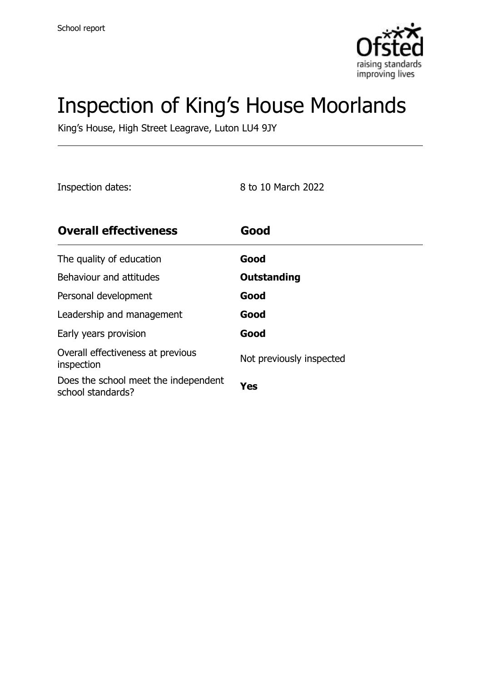

# Inspection of King's House Moorlands

King's House, High Street Leagrave, Luton LU4 9JY

Inspection dates: 8 to 10 March 2022

| <b>Overall effectiveness</b>                              | Good                     |
|-----------------------------------------------------------|--------------------------|
| The quality of education                                  | Good                     |
| Behaviour and attitudes                                   | Outstanding              |
| Personal development                                      | Good                     |
| Leadership and management                                 | Good                     |
| Early years provision                                     | Good                     |
| Overall effectiveness at previous<br>inspection           | Not previously inspected |
| Does the school meet the independent<br>school standards? | Yes                      |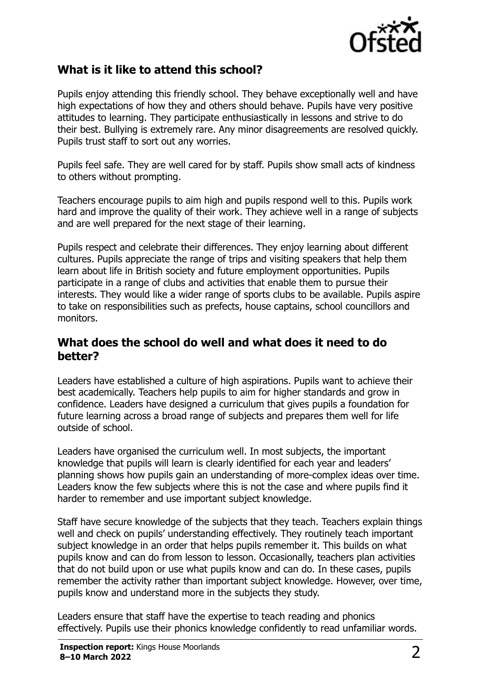

#### **What is it like to attend this school?**

Pupils enjoy attending this friendly school. They behave exceptionally well and have high expectations of how they and others should behave. Pupils have very positive attitudes to learning. They participate enthusiastically in lessons and strive to do their best. Bullying is extremely rare. Any minor disagreements are resolved quickly. Pupils trust staff to sort out any worries.

Pupils feel safe. They are well cared for by staff. Pupils show small acts of kindness to others without prompting.

Teachers encourage pupils to aim high and pupils respond well to this. Pupils work hard and improve the quality of their work. They achieve well in a range of subjects and are well prepared for the next stage of their learning.

Pupils respect and celebrate their differences. They enjoy learning about different cultures. Pupils appreciate the range of trips and visiting speakers that help them learn about life in British society and future employment opportunities. Pupils participate in a range of clubs and activities that enable them to pursue their interests. They would like a wider range of sports clubs to be available. Pupils aspire to take on responsibilities such as prefects, house captains, school councillors and monitors.

#### **What does the school do well and what does it need to do better?**

Leaders have established a culture of high aspirations. Pupils want to achieve their best academically. Teachers help pupils to aim for higher standards and grow in confidence. Leaders have designed a curriculum that gives pupils a foundation for future learning across a broad range of subjects and prepares them well for life outside of school.

Leaders have organised the curriculum well. In most subjects, the important knowledge that pupils will learn is clearly identified for each year and leaders' planning shows how pupils gain an understanding of more-complex ideas over time. Leaders know the few subjects where this is not the case and where pupils find it harder to remember and use important subject knowledge.

Staff have secure knowledge of the subjects that they teach. Teachers explain things well and check on pupils' understanding effectively. They routinely teach important subject knowledge in an order that helps pupils remember it. This builds on what pupils know and can do from lesson to lesson. Occasionally, teachers plan activities that do not build upon or use what pupils know and can do. In these cases, pupils remember the activity rather than important subject knowledge. However, over time, pupils know and understand more in the subjects they study.

Leaders ensure that staff have the expertise to teach reading and phonics effectively. Pupils use their phonics knowledge confidently to read unfamiliar words.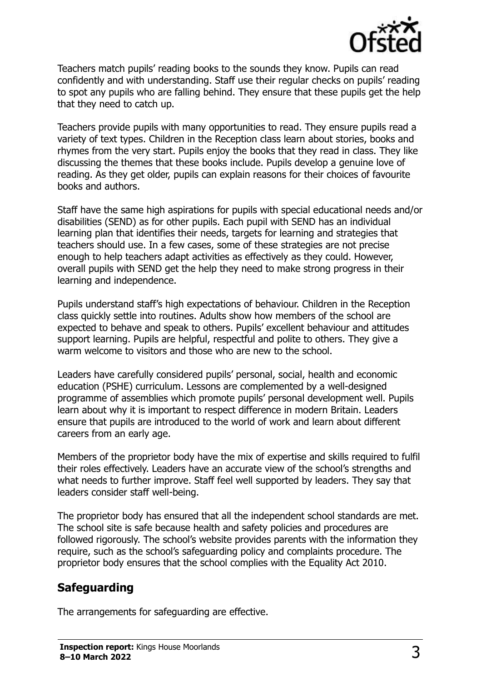

Teachers match pupils' reading books to the sounds they know. Pupils can read confidently and with understanding. Staff use their regular checks on pupils' reading to spot any pupils who are falling behind. They ensure that these pupils get the help that they need to catch up.

Teachers provide pupils with many opportunities to read. They ensure pupils read a variety of text types. Children in the Reception class learn about stories, books and rhymes from the very start. Pupils enjoy the books that they read in class. They like discussing the themes that these books include. Pupils develop a genuine love of reading. As they get older, pupils can explain reasons for their choices of favourite books and authors.

Staff have the same high aspirations for pupils with special educational needs and/or disabilities (SEND) as for other pupils. Each pupil with SEND has an individual learning plan that identifies their needs, targets for learning and strategies that teachers should use. In a few cases, some of these strategies are not precise enough to help teachers adapt activities as effectively as they could. However, overall pupils with SEND get the help they need to make strong progress in their learning and independence.

Pupils understand staff's high expectations of behaviour. Children in the Reception class quickly settle into routines. Adults show how members of the school are expected to behave and speak to others. Pupils' excellent behaviour and attitudes support learning. Pupils are helpful, respectful and polite to others. They give a warm welcome to visitors and those who are new to the school.

Leaders have carefully considered pupils' personal, social, health and economic education (PSHE) curriculum. Lessons are complemented by a well-designed programme of assemblies which promote pupils' personal development well. Pupils learn about why it is important to respect difference in modern Britain. Leaders ensure that pupils are introduced to the world of work and learn about different careers from an early age.

Members of the proprietor body have the mix of expertise and skills required to fulfil their roles effectively. Leaders have an accurate view of the school's strengths and what needs to further improve. Staff feel well supported by leaders. They say that leaders consider staff well-being.

The proprietor body has ensured that all the independent school standards are met. The school site is safe because health and safety policies and procedures are followed rigorously. The school's website provides parents with the information they require, such as the school's safeguarding policy and complaints procedure. The proprietor body ensures that the school complies with the Equality Act 2010.

### **Safeguarding**

The arrangements for safeguarding are effective.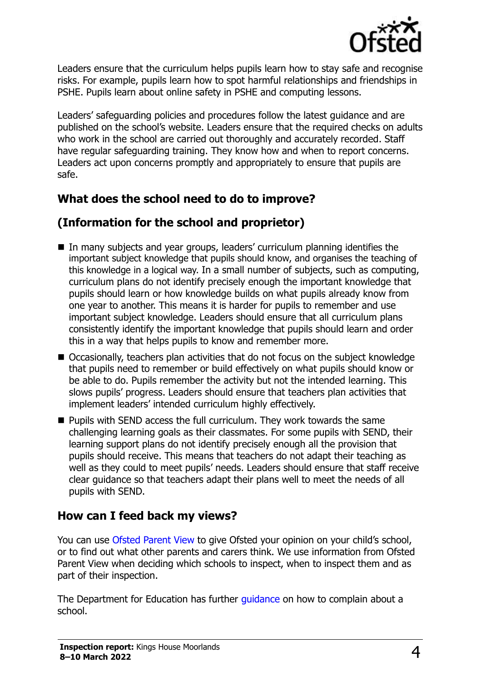

Leaders ensure that the curriculum helps pupils learn how to stay safe and recognise risks. For example, pupils learn how to spot harmful relationships and friendships in PSHE. Pupils learn about online safety in PSHE and computing lessons.

Leaders' safeguarding policies and procedures follow the latest guidance and are published on the school's website. Leaders ensure that the required checks on adults who work in the school are carried out thoroughly and accurately recorded. Staff have regular safeguarding training. They know how and when to report concerns. Leaders act upon concerns promptly and appropriately to ensure that pupils are safe.

# **What does the school need to do to improve?**

# **(Information for the school and proprietor)**

- In many subjects and year groups, leaders' curriculum planning identifies the important subject knowledge that pupils should know, and organises the teaching of this knowledge in a logical way. In a small number of subjects, such as computing, curriculum plans do not identify precisely enough the important knowledge that pupils should learn or how knowledge builds on what pupils already know from one year to another. This means it is harder for pupils to remember and use important subject knowledge. Leaders should ensure that all curriculum plans consistently identify the important knowledge that pupils should learn and order this in a way that helps pupils to know and remember more.
- Occasionally, teachers plan activities that do not focus on the subject knowledge that pupils need to remember or build effectively on what pupils should know or be able to do. Pupils remember the activity but not the intended learning. This slows pupils' progress. Leaders should ensure that teachers plan activities that implement leaders' intended curriculum highly effectively.
- Pupils with SEND access the full curriculum. They work towards the same challenging learning goals as their classmates. For some pupils with SEND, their learning support plans do not identify precisely enough all the provision that pupils should receive. This means that teachers do not adapt their teaching as well as they could to meet pupils' needs. Leaders should ensure that staff receive clear guidance so that teachers adapt their plans well to meet the needs of all pupils with SEND.

### **How can I feed back my views?**

You can use [Ofsted Parent View](http://parentview.ofsted.gov.uk/) to give Ofsted your opinion on your child's school, or to find out what other parents and carers think. We use information from Ofsted Parent View when deciding which schools to inspect, when to inspect them and as part of their inspection.

The Department for Education has further [guidance](http://www.gov.uk/complain-about-school) on how to complain about a school.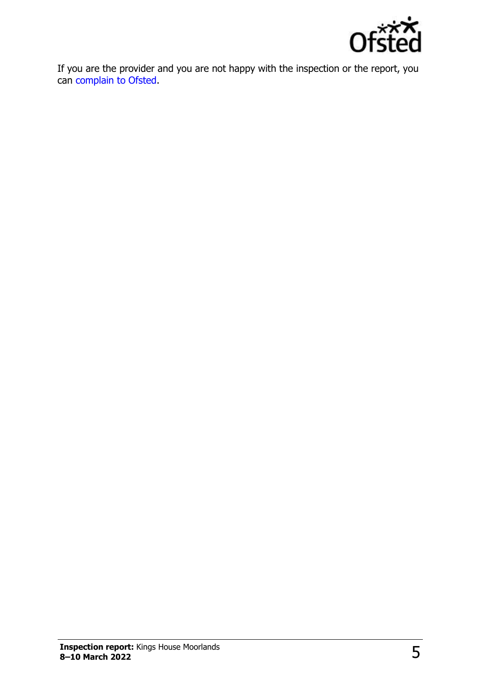

If you are the provider and you are not happy with the inspection or the report, you can [complain to Ofsted.](http://www.gov.uk/complain-ofsted-report)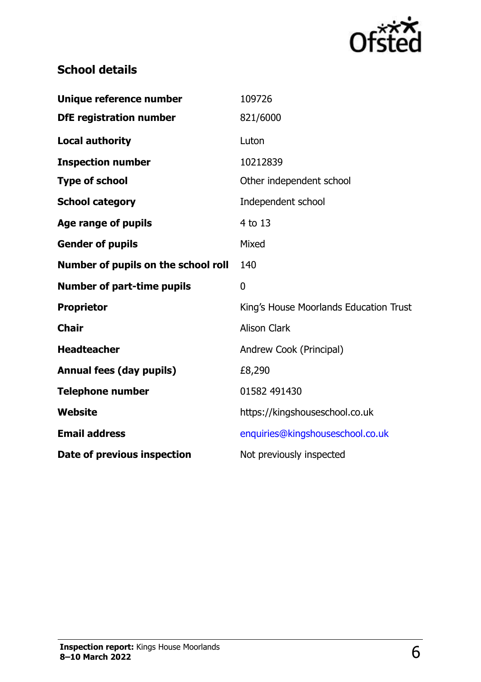

# **School details**

| Unique reference number             | 109726                                 |
|-------------------------------------|----------------------------------------|
| <b>DfE</b> registration number      | 821/6000                               |
| <b>Local authority</b>              | Luton                                  |
| <b>Inspection number</b>            | 10212839                               |
| <b>Type of school</b>               | Other independent school               |
| <b>School category</b>              | Independent school                     |
| <b>Age range of pupils</b>          | 4 to 13                                |
| <b>Gender of pupils</b>             | Mixed                                  |
| Number of pupils on the school roll | 140                                    |
|                                     |                                        |
| <b>Number of part-time pupils</b>   | $\mathbf 0$                            |
| <b>Proprietor</b>                   | King's House Moorlands Education Trust |
| <b>Chair</b>                        | <b>Alison Clark</b>                    |
| <b>Headteacher</b>                  | Andrew Cook (Principal)                |
| <b>Annual fees (day pupils)</b>     | £8,290                                 |
| <b>Telephone number</b>             | 01582 491430                           |
| <b>Website</b>                      | https://kingshouseschool.co.uk         |
| <b>Email address</b>                | enquiries@kingshouseschool.co.uk       |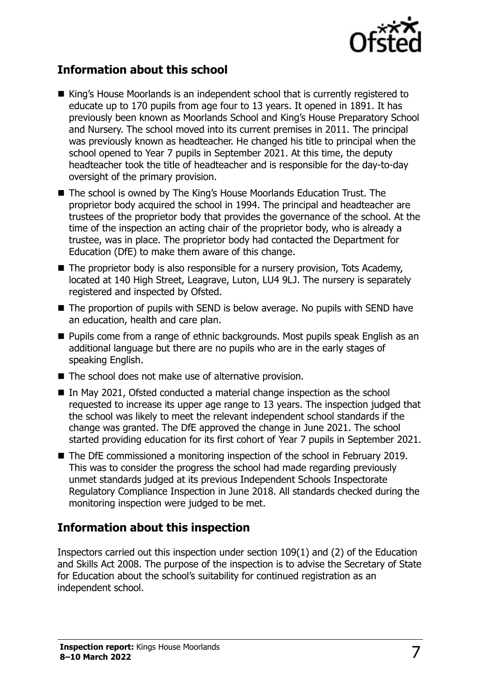

### **Information about this school**

- King's House Moorlands is an independent school that is currently registered to educate up to 170 pupils from age four to 13 years. It opened in 1891. It has previously been known as Moorlands School and King's House Preparatory School and Nursery. The school moved into its current premises in 2011. The principal was previously known as headteacher. He changed his title to principal when the school opened to Year 7 pupils in September 2021. At this time, the deputy headteacher took the title of headteacher and is responsible for the day-to-day oversight of the primary provision.
- The school is owned by The King's House Moorlands Education Trust. The proprietor body acquired the school in 1994. The principal and headteacher are trustees of the proprietor body that provides the governance of the school. At the time of the inspection an acting chair of the proprietor body, who is already a trustee, was in place. The proprietor body had contacted the Department for Education (DfE) to make them aware of this change.
- The proprietor body is also responsible for a nursery provision, Tots Academy, located at 140 High Street, Leagrave, Luton, LU4 9LJ. The nursery is separately registered and inspected by Ofsted.
- The proportion of pupils with SEND is below average. No pupils with SEND have an education, health and care plan.
- Pupils come from a range of ethnic backgrounds. Most pupils speak English as an additional language but there are no pupils who are in the early stages of speaking English.
- The school does not make use of alternative provision.
- In May 2021, Ofsted conducted a material change inspection as the school requested to increase its upper age range to 13 years. The inspection judged that the school was likely to meet the relevant independent school standards if the change was granted. The DfE approved the change in June 2021. The school started providing education for its first cohort of Year 7 pupils in September 2021.
- The DfE commissioned a monitoring inspection of the school in February 2019. This was to consider the progress the school had made regarding previously unmet standards judged at its previous Independent Schools Inspectorate Regulatory Compliance Inspection in June 2018. All standards checked during the monitoring inspection were judged to be met.

#### **Information about this inspection**

Inspectors carried out this inspection under section 109(1) and (2) of the Education and Skills Act 2008. The purpose of the inspection is to advise the Secretary of State for Education about the school's suitability for continued registration as an independent school.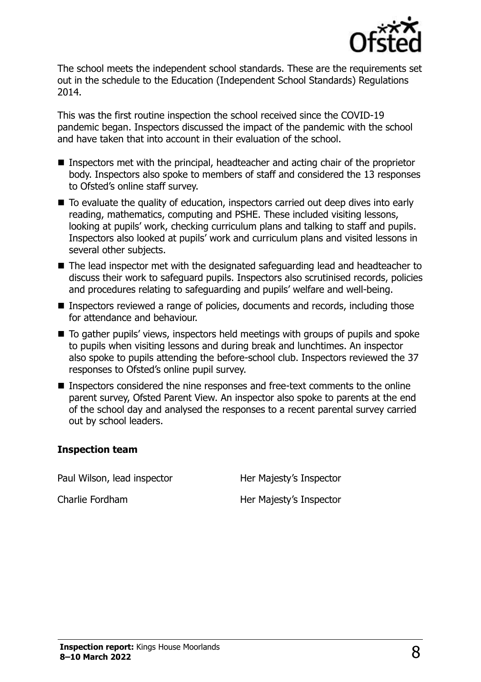

The school meets the independent school standards. These are the requirements set out in the schedule to the Education (Independent School Standards) Regulations 2014.

This was the first routine inspection the school received since the COVID-19 pandemic began. Inspectors discussed the impact of the pandemic with the school and have taken that into account in their evaluation of the school.

- Inspectors met with the principal, headteacher and acting chair of the proprietor body. Inspectors also spoke to members of staff and considered the 13 responses to Ofsted's online staff survey.
- To evaluate the quality of education, inspectors carried out deep dives into early reading, mathematics, computing and PSHE. These included visiting lessons, looking at pupils' work, checking curriculum plans and talking to staff and pupils. Inspectors also looked at pupils' work and curriculum plans and visited lessons in several other subjects.
- The lead inspector met with the designated safeguarding lead and headteacher to discuss their work to safeguard pupils. Inspectors also scrutinised records, policies and procedures relating to safeguarding and pupils' welfare and well-being.
- Inspectors reviewed a range of policies, documents and records, including those for attendance and behaviour.
- To gather pupils' views, inspectors held meetings with groups of pupils and spoke to pupils when visiting lessons and during break and lunchtimes. An inspector also spoke to pupils attending the before-school club. Inspectors reviewed the 37 responses to Ofsted's online pupil survey.
- Inspectors considered the nine responses and free-text comments to the online parent survey, Ofsted Parent View. An inspector also spoke to parents at the end of the school day and analysed the responses to a recent parental survey carried out by school leaders.

#### **Inspection team**

Paul Wilson, lead inspector **Her Majesty's Inspector** 

Charlie Fordham Her Majesty's Inspector